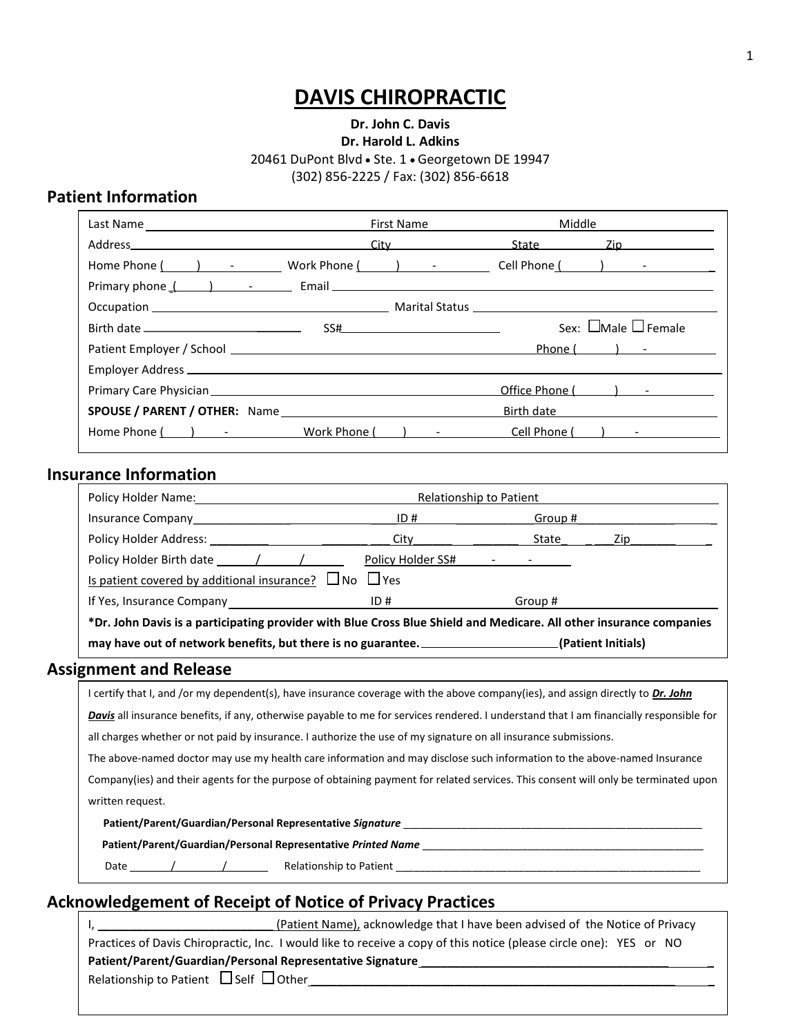# **DAVIS CHIROPRACTIC**

### **Dr. John C. Davis Dr. Harold L. Adkins** 20461 DuPont Blvd · Ste. 1 · Georgetown DE 19947 (302) 856-2225 / Fax: (302) 856-6618

## **Patient Information**

|                                                                                                                                                                                                                                | <b>First Name</b> | Middle           |                                                                                                                                                                                                                                |
|--------------------------------------------------------------------------------------------------------------------------------------------------------------------------------------------------------------------------------|-------------------|------------------|--------------------------------------------------------------------------------------------------------------------------------------------------------------------------------------------------------------------------------|
| Address and the contract of the contract of the contract of the contract of the contract of the contract of the                                                                                                                |                   |                  | City State Zip                                                                                                                                                                                                                 |
| Home Phone ( The Second Left Control of Mone Left Control of Mone Left Control of Mone Left Control of Mone Left Control of Mone Left Control of Mone Left Control of Mone Left Control of Mone Left Control of Mone Left Cont |                   |                  |                                                                                                                                                                                                                                |
|                                                                                                                                                                                                                                |                   |                  |                                                                                                                                                                                                                                |
|                                                                                                                                                                                                                                |                   |                  |                                                                                                                                                                                                                                |
|                                                                                                                                                                                                                                |                   |                  | Sex: $\Box$ Male $\Box$ Female                                                                                                                                                                                                 |
|                                                                                                                                                                                                                                |                   |                  | Phone ( ) - Thomas ( ) - Thomas ( ) - Thomas ( ) - Thomas ( ) - Thomas ( ) is not ( ) in the control of the control of the control of the control of the control of the control of the control of the control of the control o |
|                                                                                                                                                                                                                                |                   |                  |                                                                                                                                                                                                                                |
| Primary Care Physician <b>Careford Carefornia</b> Primary Care Physician                                                                                                                                                       |                   |                  | Office Phone ( ) - The Contract of The Contract of The Contract of The Contract of The Contract of The Contract of The Contract of The Contract of The Contract of The Contract of The Contract of The Contract of The Contrac |
|                                                                                                                                                                                                                                |                   | Birth date       |                                                                                                                                                                                                                                |
| Home Phone ( ) - Work Phone ( ) -                                                                                                                                                                                              |                   | Cell Phone ( ) - |                                                                                                                                                                                                                                |

#### **Insurance Information**

| Policy Holder Name: The Contract of the Contract of the Contract of the Contract of the Contract of the Contract of the Contract of the Contract of the Contract of the Contract of the Contract of the Contract of the Contra | Relationship to Patient                                                                                         |         |                                                                                                               |  |  |
|--------------------------------------------------------------------------------------------------------------------------------------------------------------------------------------------------------------------------------|-----------------------------------------------------------------------------------------------------------------|---------|---------------------------------------------------------------------------------------------------------------|--|--|
|                                                                                                                                                                                                                                | ID#                                                                                                             | Group # |                                                                                                               |  |  |
| Policy Holder Address: North States and States and States and States and States and States and States and States                                                                                                               | City in the control of the control of the control of the control of the control of the control of the control o | State   | Zip and the second second second second second second second second second second second second second second |  |  |
|                                                                                                                                                                                                                                |                                                                                                                 |         |                                                                                                               |  |  |
| <u>Is patient covered by additional insurance?</u> $\Box$ No $\Box$ Yes                                                                                                                                                        |                                                                                                                 |         |                                                                                                               |  |  |
| If Yes, Insurance Company                                                                                                                                                                                                      | ID#                                                                                                             | Group # |                                                                                                               |  |  |
| *Dr. John Davis is a participating provider with Blue Cross Blue Shield and Medicare. All other insurance companies                                                                                                            |                                                                                                                 |         |                                                                                                               |  |  |

may have out of network benefits, but there is no guarantee. \_\_\_\_\_\_\_\_\_\_\_\_\_\_\_\_\_\_\_\_(Patient Initials)

#### **Assignment and Release**

| I certify that I, and /or my dependent(s), have insurance coverage with the above company(ies), and assign directly to Dr. John                |
|------------------------------------------------------------------------------------------------------------------------------------------------|
| <b>Davis</b> all insurance benefits, if any, otherwise payable to me for services rendered. I understand that I am financially responsible for |
| all charges whether or not paid by insurance. I authorize the use of my signature on all insurance submissions.                                |
| The above-named doctor may use my health care information and may disclose such information to the above-named Insurance                       |

Company(ies) and their agents for the purpose of obtaining payment for related services. This consent will only be terminated upon written request.

**Patient/Parent/Guardian/Personal Representative** *Signature* \_\_\_\_\_\_\_\_\_\_\_\_\_\_\_\_\_\_\_\_\_\_\_\_\_\_\_\_\_\_\_\_\_\_\_\_\_\_\_\_\_\_\_\_\_\_\_\_\_\_\_

**Patient/Parent/Guardian/Personal Representative** *Printed Name* \_\_\_\_\_\_\_\_\_\_\_\_\_\_\_\_\_\_\_\_\_\_\_\_\_\_\_\_\_\_\_\_\_\_\_\_\_\_\_\_\_\_\_\_\_\_\_\_

Date \_\_\_\_\_\_\_/\_\_\_\_\_\_\_\_/\_\_\_\_\_\_\_ Relationship to Patient \_\_\_\_\_\_\_\_\_\_\_\_\_\_\_\_\_\_\_\_\_\_\_\_\_\_\_\_\_\_\_\_\_\_\_\_\_\_\_\_\_\_\_\_\_\_\_\_\_\_\_\_

## **Acknowledgement of Receipt of Notice of Privacy Practices**

| (Patient Name), acknowledge that I have been advised of the Notice of Privacy                                      |  |
|--------------------------------------------------------------------------------------------------------------------|--|
| Practices of Davis Chiropractic, Inc. I would like to receive a copy of this notice (please circle one): YES or NO |  |
| Patient/Parent/Guardian/Personal Representative Signature                                                          |  |
| Relationship to Patient $\Box$ Self $\Box$ Other                                                                   |  |
|                                                                                                                    |  |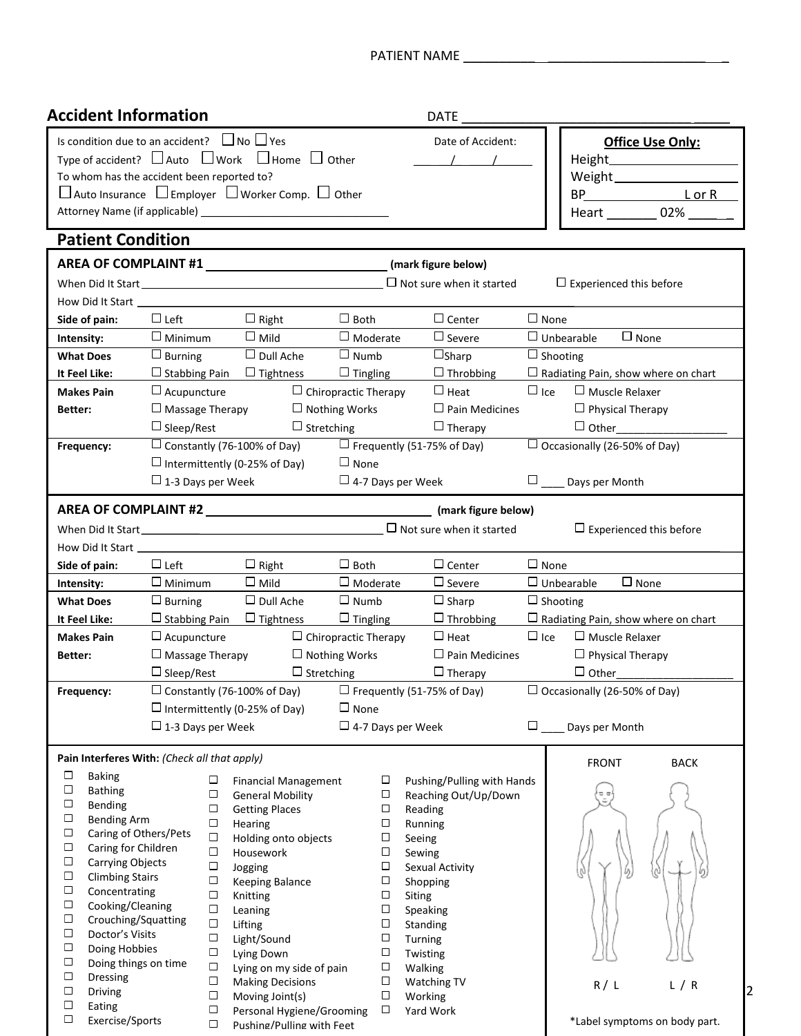| <b>Accident Information</b>                                                                         |                          |                  |                                                                                                                                              |                             |                  | DATE                                                                                                                                                                            |                 |                                            |   |
|-----------------------------------------------------------------------------------------------------|--------------------------|------------------|----------------------------------------------------------------------------------------------------------------------------------------------|-----------------------------|------------------|---------------------------------------------------------------------------------------------------------------------------------------------------------------------------------|-----------------|--------------------------------------------|---|
| Is condition due to an accident? $\Box$ No $\Box$ Yes<br>To whom has the accident been reported to? |                          |                  | Type of accident? $\Box$ Auto $\Box$ Work $\Box$ Home $\Box$ Other<br>$\Box$ Auto Insurance $\Box$ Employer $\Box$ Worker Comp. $\Box$ Other |                             |                  | Date of Accident:                                                                                                                                                               |                 | Office Use Only:<br>Heart 02%              |   |
| <b>Patient Condition</b>                                                                            |                          |                  |                                                                                                                                              |                             |                  |                                                                                                                                                                                 |                 |                                            |   |
|                                                                                                     |                          |                  | AREA OF COMPLAINT #1                                                                                                                         |                             |                  | (mark figure below)                                                                                                                                                             |                 |                                            |   |
|                                                                                                     |                          |                  |                                                                                                                                              |                             |                  |                                                                                                                                                                                 |                 | $\Box$ Experienced this before             |   |
|                                                                                                     |                          |                  |                                                                                                                                              |                             |                  |                                                                                                                                                                                 |                 |                                            |   |
| Side of pain:                                                                                       | $\Box$ Left              |                  | $\Box$ Right                                                                                                                                 | $\Box$ Both                 |                  | $\Box$ Center                                                                                                                                                                   | $\square$ None  |                                            |   |
| Intensity:                                                                                          | $\square$ Minimum        |                  | $\square$ Mild                                                                                                                               | $\Box$ Moderate             |                  | $\Box$ Severe                                                                                                                                                                   |                 | $\Box$ Unbearable $\Box$ None              |   |
| <b>What Does</b>                                                                                    | $\Box$ Burning           |                  | $\Box$ Dull Ache                                                                                                                             | $\Box$ Numb                 |                  | $\Box$ Sharp                                                                                                                                                                    | $\Box$ Shooting |                                            |   |
| It Feel Like:                                                                                       |                          |                  | $\Box$ Stabbing Pain $\Box$ Tightness                                                                                                        | $\Box$ Tingling             |                  | $\Box$ Throbbing                                                                                                                                                                |                 | $\Box$ Radiating Pain, show where on chart |   |
| <b>Makes Pain</b>                                                                                   | $\Box$ Acupuncture       |                  |                                                                                                                                              | $\Box$ Chiropractic Therapy |                  | $\Box$ Heat                                                                                                                                                                     | $\Box$ Ice      | $\Box$ Muscle Relaxer                      |   |
| Better:                                                                                             | $\Box$ Massage Therapy   |                  |                                                                                                                                              | $\Box$ Nothing Works        |                  | $\Box$ Pain Medicines                                                                                                                                                           |                 | $\Box$ Physical Therapy                    |   |
|                                                                                                     | $\Box$ Sleep/Rest        |                  | $\Box$ Stretching                                                                                                                            |                             |                  | $\Box$ Therapy                                                                                                                                                                  |                 |                                            |   |
| Frequency:                                                                                          |                          |                  |                                                                                                                                              |                             |                  | $\Box$ Constantly (76-100% of Day) $\Box$ Frequently (51-75% of Day)                                                                                                            |                 | $\Box$ Occasionally (26-50% of Day)        |   |
|                                                                                                     |                          |                  | $\Box$ Intermittently (0-25% of Day)                                                                                                         | $\Box$ None                 |                  |                                                                                                                                                                                 |                 |                                            |   |
|                                                                                                     | $\Box$ 1-3 Days per Week |                  |                                                                                                                                              |                             |                  | $\Box$ 4-7 Days per Week                                                                                                                                                        |                 | $\square$ Days per Month                   |   |
|                                                                                                     |                          |                  |                                                                                                                                              |                             |                  |                                                                                                                                                                                 |                 |                                            |   |
|                                                                                                     |                          |                  |                                                                                                                                              |                             |                  | When Did It Start Start  Late of the University Contract University Contract University Contract University Contract University Contract University Of Not sure when it started |                 | $\Box$ Experienced this before             |   |
|                                                                                                     |                          |                  |                                                                                                                                              |                             |                  |                                                                                                                                                                                 |                 |                                            |   |
| Side of pain:                                                                                       | $\square$ Left           |                  |                                                                                                                                              | $\Box$ Both                 |                  | $\Box$ Center                                                                                                                                                                   | $\Box$ None     |                                            |   |
| Intensity:                                                                                          | $\Box$ Minimum           |                  | $\square$ Mild                                                                                                                               | $\square$ Moderate          |                  | $\Box$ Severe                                                                                                                                                                   |                 | $\Box$ Unbearable<br>$\Box$ None           |   |
| <b>What Does</b>                                                                                    | $\Box$ Burning           |                  | $\Box$ Dull Ache                                                                                                                             | $\Box$ Numb                 |                  | $\Box$ Sharp                                                                                                                                                                    | $\Box$ Shooting |                                            |   |
| It Feel Like:                                                                                       |                          |                  | $\Box$ Stabbing Pain $\Box$ Tightness                                                                                                        | $\Box$ Tingling             |                  | $\Box$ Throbbing                                                                                                                                                                |                 | $\Box$ Radiating Pain, show where on chart |   |
| <b>Makes Pain</b>                                                                                   | $\Box$ Acupuncture       |                  |                                                                                                                                              | $\Box$ Chiropractic Therapy |                  | $\Box$ Heat                                                                                                                                                                     | $\Box$ Ice      | $\Box$ Muscle Relaxer                      |   |
| Better:                                                                                             | $\Box$ Massage Therapy   |                  |                                                                                                                                              | $\Box$ Nothing Works        |                  | $\Box$ Pain Medicines                                                                                                                                                           |                 | $\Box$ Physical Therapy                    |   |
|                                                                                                     | $\Box$ Sleep/Rest        |                  | $\Box$ Stretching                                                                                                                            |                             |                  | $\Box$ Therapy                                                                                                                                                                  |                 | $\Box$ Other                               |   |
| Frequency:                                                                                          |                          |                  | $\Box$ Constantly (76-100% of Day)                                                                                                           |                             |                  | $\Box$ Frequently (51-75% of Day)                                                                                                                                               |                 | $\Box$ Occasionally (26-50% of Day)        |   |
|                                                                                                     |                          |                  | $\Box$ Intermittently (0-25% of Day)                                                                                                         | $\Box$ None                 |                  |                                                                                                                                                                                 |                 |                                            |   |
|                                                                                                     | $\Box$ 1-3 Days per Week |                  |                                                                                                                                              |                             |                  | $\Box$ 4-7 Days per Week                                                                                                                                                        | $\Box$          | Days per Month                             |   |
| Pain Interferes With: (Check all that apply)                                                        |                          |                  |                                                                                                                                              |                             |                  |                                                                                                                                                                                 |                 |                                            |   |
| $\Box$<br><b>Baking</b>                                                                             |                          |                  |                                                                                                                                              |                             |                  |                                                                                                                                                                                 |                 | <b>FRONT</b><br><b>BACK</b>                |   |
| $\Box$<br><b>Bathing</b>                                                                            |                          | □<br>$\Box$      | <b>Financial Management</b><br><b>General Mobility</b>                                                                                       |                             | □<br>$\Box$      | Pushing/Pulling with Hands<br>Reaching Out/Up/Down                                                                                                                              |                 | 교교                                         |   |
| $\Box$<br>Bending                                                                                   |                          | $\Box$           | <b>Getting Places</b>                                                                                                                        |                             | $\Box$           | Reading                                                                                                                                                                         |                 |                                            |   |
| $\Box$<br><b>Bending Arm</b><br>$\Box$                                                              |                          | $\Box$           | Hearing                                                                                                                                      |                             | $\Box$           | Running                                                                                                                                                                         |                 |                                            |   |
| Caring of Others/Pets<br>$\Box$<br>Caring for Children                                              |                          | $\Box$<br>$\Box$ | Holding onto objects                                                                                                                         |                             | $\Box$           | Seeing                                                                                                                                                                          |                 |                                            |   |
| $\Box$<br>Carrying Objects                                                                          |                          | $\Box$           | Housework<br>Jogging                                                                                                                         |                             | $\Box$<br>$\Box$ | Sewing<br>Sexual Activity                                                                                                                                                       |                 |                                            |   |
| $\Box$<br><b>Climbing Stairs</b>                                                                    |                          | $\Box$           | <b>Keeping Balance</b>                                                                                                                       |                             | $\Box$           | Shopping                                                                                                                                                                        |                 | υ,                                         |   |
| $\Box$<br>Concentrating                                                                             |                          | $\Box$           | Knitting                                                                                                                                     |                             | $\Box$           | <b>Siting</b>                                                                                                                                                                   |                 |                                            |   |
| $\Box$<br>Cooking/Cleaning<br>$\Box$<br>Crouching/Squatting                                         |                          | $\Box$           | Leaning                                                                                                                                      |                             | $\Box$           | Speaking                                                                                                                                                                        |                 |                                            |   |
| $\Box$<br>Doctor's Visits                                                                           |                          | $\Box$<br>$\Box$ | Lifting<br>Light/Sound                                                                                                                       |                             | $\Box$<br>$\Box$ | Standing<br>Turning                                                                                                                                                             |                 |                                            |   |
| $\Box$<br>Doing Hobbies                                                                             |                          | $\Box$           | Lying Down                                                                                                                                   |                             | $\Box$           | Twisting                                                                                                                                                                        |                 |                                            |   |
| $\Box$<br>Doing things on time                                                                      |                          | $\Box$           | Lying on my side of pain                                                                                                                     |                             | $\Box$           | Walking                                                                                                                                                                         |                 |                                            |   |
| $\Box$<br><b>Dressing</b><br>$\Box$<br>Driving                                                      |                          | $\Box$           | <b>Making Decisions</b>                                                                                                                      |                             | □                | Watching TV                                                                                                                                                                     |                 | R/L<br>L / R                               |   |
| $\Box$<br>Eating                                                                                    |                          | $\Box$<br>$\Box$ | Moving Joint(s)<br>Personal Hygiene/Grooming                                                                                                 |                             | $\Box$<br>$\Box$ | Working<br>Yard Work                                                                                                                                                            |                 |                                            | 2 |
| $\Box$<br>Exercise/Sports                                                                           |                          | $\Box$           | Pushing/Pulling with Feet                                                                                                                    |                             |                  |                                                                                                                                                                                 |                 | *Label symptoms on body part.              |   |
|                                                                                                     |                          |                  |                                                                                                                                              |                             |                  |                                                                                                                                                                                 |                 |                                            |   |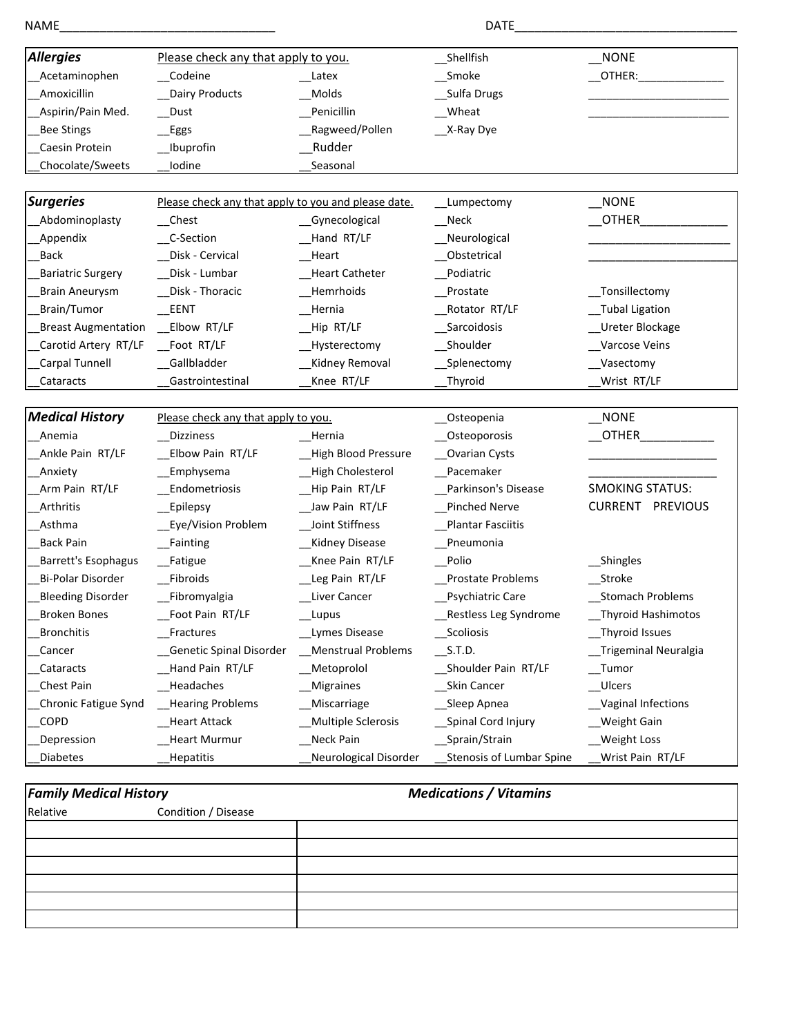| <b>NONE</b><br>Please check any that apply to you.<br>Shellfish<br>Codeine<br>__Smoke<br>Acetaminophen<br>_Latex<br>_OTHER:_<br>Amoxicillin<br>Dairy Products<br>Sulfa Drugs<br>Molds<br>Aspirin/Pain Med.<br>Penicillin<br>Wheat<br>Dust<br>Ragweed/Pollen<br>__X-Ray Dye<br><b>Bee Stings</b><br>_Eggs<br>Rudder<br>Caesin Protein<br>_Ibuprofin<br>Chocolate/Sweets<br>Iodine<br>Seasonal<br>$\sqrt{N}$ NONE<br>Please check any that apply to you and please date.<br>__Lumpectomy<br>OTHER<br>Abdominoplasty<br>$\mathsf{N}\mathsf{e}\mathsf{c}\mathsf{k}$<br>$\mathsf{\_}$ Chest<br>_Gynecological<br>Hand RT/LF<br>Appendix<br>C-Section<br>_Neurological<br>_Obstetrical<br><b>Back</b><br>_Disk - Cervical<br>Heart<br><b>Bariatric Surgery</b><br>Disk - Lumbar<br>Podiatric<br>Heart Catheter<br>Disk - Thoracic<br>Hemrhoids<br>Prostate<br>_Tonsillectomy<br><b>Brain Aneurysm</b><br>Brain/Tumor<br>EENT<br>Hernia<br>Rotator RT/LF<br>_Tubal Ligation<br><b>Breast Augmentation</b><br>__Elbow RT/LF<br>_Hip RT/LF<br>Sarcoidosis<br>Ureter Blockage<br>Shoulder<br>Carotid Artery RT/LF<br>Foot RT/LF<br>Varcose Veins<br>_Hysterectomy<br>Carpal Tunnell<br>Gallbladder<br>Kidney Removal<br>Splenectomy<br>Vasectomy<br>Gastrointestinal<br>Knee RT/LF<br>Thyroid<br>Wrist RT/LF<br>Cataracts<br><b>NONE</b><br>Please check any that apply to you.<br>_Osteopenia<br><b>OTHER</b><br><b>Dizziness</b><br>_Osteoporosis<br>Anemia<br>Hernia | NAME                   |                  |                      | DATE           |  |
|---------------------------------------------------------------------------------------------------------------------------------------------------------------------------------------------------------------------------------------------------------------------------------------------------------------------------------------------------------------------------------------------------------------------------------------------------------------------------------------------------------------------------------------------------------------------------------------------------------------------------------------------------------------------------------------------------------------------------------------------------------------------------------------------------------------------------------------------------------------------------------------------------------------------------------------------------------------------------------------------------------------------------------------------------------------------------------------------------------------------------------------------------------------------------------------------------------------------------------------------------------------------------------------------------------------------------------------------------------------------------------------------------------------------------------------------------------------|------------------------|------------------|----------------------|----------------|--|
|                                                                                                                                                                                                                                                                                                                                                                                                                                                                                                                                                                                                                                                                                                                                                                                                                                                                                                                                                                                                                                                                                                                                                                                                                                                                                                                                                                                                                                                               | <b>Allergies</b>       |                  |                      |                |  |
|                                                                                                                                                                                                                                                                                                                                                                                                                                                                                                                                                                                                                                                                                                                                                                                                                                                                                                                                                                                                                                                                                                                                                                                                                                                                                                                                                                                                                                                               |                        |                  |                      |                |  |
|                                                                                                                                                                                                                                                                                                                                                                                                                                                                                                                                                                                                                                                                                                                                                                                                                                                                                                                                                                                                                                                                                                                                                                                                                                                                                                                                                                                                                                                               |                        |                  |                      |                |  |
|                                                                                                                                                                                                                                                                                                                                                                                                                                                                                                                                                                                                                                                                                                                                                                                                                                                                                                                                                                                                                                                                                                                                                                                                                                                                                                                                                                                                                                                               |                        |                  |                      |                |  |
|                                                                                                                                                                                                                                                                                                                                                                                                                                                                                                                                                                                                                                                                                                                                                                                                                                                                                                                                                                                                                                                                                                                                                                                                                                                                                                                                                                                                                                                               |                        |                  |                      |                |  |
|                                                                                                                                                                                                                                                                                                                                                                                                                                                                                                                                                                                                                                                                                                                                                                                                                                                                                                                                                                                                                                                                                                                                                                                                                                                                                                                                                                                                                                                               |                        |                  |                      |                |  |
|                                                                                                                                                                                                                                                                                                                                                                                                                                                                                                                                                                                                                                                                                                                                                                                                                                                                                                                                                                                                                                                                                                                                                                                                                                                                                                                                                                                                                                                               |                        |                  |                      |                |  |
|                                                                                                                                                                                                                                                                                                                                                                                                                                                                                                                                                                                                                                                                                                                                                                                                                                                                                                                                                                                                                                                                                                                                                                                                                                                                                                                                                                                                                                                               | <b>Surgeries</b>       |                  |                      |                |  |
|                                                                                                                                                                                                                                                                                                                                                                                                                                                                                                                                                                                                                                                                                                                                                                                                                                                                                                                                                                                                                                                                                                                                                                                                                                                                                                                                                                                                                                                               |                        |                  |                      |                |  |
|                                                                                                                                                                                                                                                                                                                                                                                                                                                                                                                                                                                                                                                                                                                                                                                                                                                                                                                                                                                                                                                                                                                                                                                                                                                                                                                                                                                                                                                               |                        |                  |                      |                |  |
|                                                                                                                                                                                                                                                                                                                                                                                                                                                                                                                                                                                                                                                                                                                                                                                                                                                                                                                                                                                                                                                                                                                                                                                                                                                                                                                                                                                                                                                               |                        |                  |                      |                |  |
|                                                                                                                                                                                                                                                                                                                                                                                                                                                                                                                                                                                                                                                                                                                                                                                                                                                                                                                                                                                                                                                                                                                                                                                                                                                                                                                                                                                                                                                               |                        |                  |                      |                |  |
|                                                                                                                                                                                                                                                                                                                                                                                                                                                                                                                                                                                                                                                                                                                                                                                                                                                                                                                                                                                                                                                                                                                                                                                                                                                                                                                                                                                                                                                               |                        |                  |                      |                |  |
|                                                                                                                                                                                                                                                                                                                                                                                                                                                                                                                                                                                                                                                                                                                                                                                                                                                                                                                                                                                                                                                                                                                                                                                                                                                                                                                                                                                                                                                               |                        |                  |                      |                |  |
|                                                                                                                                                                                                                                                                                                                                                                                                                                                                                                                                                                                                                                                                                                                                                                                                                                                                                                                                                                                                                                                                                                                                                                                                                                                                                                                                                                                                                                                               |                        |                  |                      |                |  |
|                                                                                                                                                                                                                                                                                                                                                                                                                                                                                                                                                                                                                                                                                                                                                                                                                                                                                                                                                                                                                                                                                                                                                                                                                                                                                                                                                                                                                                                               |                        |                  |                      |                |  |
|                                                                                                                                                                                                                                                                                                                                                                                                                                                                                                                                                                                                                                                                                                                                                                                                                                                                                                                                                                                                                                                                                                                                                                                                                                                                                                                                                                                                                                                               |                        |                  |                      |                |  |
|                                                                                                                                                                                                                                                                                                                                                                                                                                                                                                                                                                                                                                                                                                                                                                                                                                                                                                                                                                                                                                                                                                                                                                                                                                                                                                                                                                                                                                                               |                        |                  |                      |                |  |
|                                                                                                                                                                                                                                                                                                                                                                                                                                                                                                                                                                                                                                                                                                                                                                                                                                                                                                                                                                                                                                                                                                                                                                                                                                                                                                                                                                                                                                                               |                        |                  |                      |                |  |
|                                                                                                                                                                                                                                                                                                                                                                                                                                                                                                                                                                                                                                                                                                                                                                                                                                                                                                                                                                                                                                                                                                                                                                                                                                                                                                                                                                                                                                                               | <b>Medical History</b> |                  |                      |                |  |
|                                                                                                                                                                                                                                                                                                                                                                                                                                                                                                                                                                                                                                                                                                                                                                                                                                                                                                                                                                                                                                                                                                                                                                                                                                                                                                                                                                                                                                                               |                        |                  |                      |                |  |
|                                                                                                                                                                                                                                                                                                                                                                                                                                                                                                                                                                                                                                                                                                                                                                                                                                                                                                                                                                                                                                                                                                                                                                                                                                                                                                                                                                                                                                                               | Ankle Pain RT/LF       | Elbow Pain RT/LF | _High Blood Pressure | _Ovarian Cysts |  |
| Emphysema<br>High Cholesterol<br>Pacemaker<br>Anxiety                                                                                                                                                                                                                                                                                                                                                                                                                                                                                                                                                                                                                                                                                                                                                                                                                                                                                                                                                                                                                                                                                                                                                                                                                                                                                                                                                                                                         |                        |                  |                      |                |  |
| <b>SMOKING STATUS:</b><br>Arm Pain RT/LF<br>Hip Pain RT/LF<br>Parkinson's Disease<br>Endometriosis                                                                                                                                                                                                                                                                                                                                                                                                                                                                                                                                                                                                                                                                                                                                                                                                                                                                                                                                                                                                                                                                                                                                                                                                                                                                                                                                                            |                        |                  |                      |                |  |
| <b>CURRENT PREVIOUS</b><br>Arthritis<br>Jaw Pain RT/LF<br>Pinched Nerve<br>_Epilepsy                                                                                                                                                                                                                                                                                                                                                                                                                                                                                                                                                                                                                                                                                                                                                                                                                                                                                                                                                                                                                                                                                                                                                                                                                                                                                                                                                                          |                        |                  |                      |                |  |
| Joint Stiffness<br>Eye/Vision Problem<br>Plantar Fasciitis<br>Asthma                                                                                                                                                                                                                                                                                                                                                                                                                                                                                                                                                                                                                                                                                                                                                                                                                                                                                                                                                                                                                                                                                                                                                                                                                                                                                                                                                                                          |                        |                  |                      |                |  |
| <b>Kidney Disease</b><br><b>Back Pain</b><br>_Fainting<br>Pneumonia                                                                                                                                                                                                                                                                                                                                                                                                                                                                                                                                                                                                                                                                                                                                                                                                                                                                                                                                                                                                                                                                                                                                                                                                                                                                                                                                                                                           |                        |                  |                      |                |  |
| Knee Pain RT/LF<br>Polio<br>__Shingles<br>Barrett's Esophagus<br>_Fatigue                                                                                                                                                                                                                                                                                                                                                                                                                                                                                                                                                                                                                                                                                                                                                                                                                                                                                                                                                                                                                                                                                                                                                                                                                                                                                                                                                                                     |                        |                  |                      |                |  |
| Leg Pain RT/LF<br>Bi-Polar Disorder<br>Fibroids<br>Prostate Problems<br>Stroke                                                                                                                                                                                                                                                                                                                                                                                                                                                                                                                                                                                                                                                                                                                                                                                                                                                                                                                                                                                                                                                                                                                                                                                                                                                                                                                                                                                |                        |                  |                      |                |  |
| Bleeding Disorder<br>_Fibromyalgia<br>Liver Cancer<br>Psychiatric Care<br>__Stomach Problems                                                                                                                                                                                                                                                                                                                                                                                                                                                                                                                                                                                                                                                                                                                                                                                                                                                                                                                                                                                                                                                                                                                                                                                                                                                                                                                                                                  |                        |                  |                      |                |  |
| <b>Broken Bones</b><br>Foot Pain RT/LF<br>_Restless Leg Syndrome<br><b>Thyroid Hashimotos</b><br>Lupus                                                                                                                                                                                                                                                                                                                                                                                                                                                                                                                                                                                                                                                                                                                                                                                                                                                                                                                                                                                                                                                                                                                                                                                                                                                                                                                                                        |                        |                  |                      |                |  |
| Thyroid Issues<br><b>Bronchitis</b><br>Scoliosis<br>Fractures<br>Lymes Disease                                                                                                                                                                                                                                                                                                                                                                                                                                                                                                                                                                                                                                                                                                                                                                                                                                                                                                                                                                                                                                                                                                                                                                                                                                                                                                                                                                                |                        |                  |                      |                |  |
| <b>Menstrual Problems</b><br>Genetic Spinal Disorder<br>S.T.D.<br>Trigeminal Neuralgia<br>Cancer                                                                                                                                                                                                                                                                                                                                                                                                                                                                                                                                                                                                                                                                                                                                                                                                                                                                                                                                                                                                                                                                                                                                                                                                                                                                                                                                                              |                        |                  |                      |                |  |
| Hand Pain RT/LF<br>Metoprolol<br>__Shoulder Pain RT/LF<br>Cataracts<br>Tumor                                                                                                                                                                                                                                                                                                                                                                                                                                                                                                                                                                                                                                                                                                                                                                                                                                                                                                                                                                                                                                                                                                                                                                                                                                                                                                                                                                                  |                        |                  |                      |                |  |
| Chest Pain<br>Headaches<br><b>Migraines</b><br>Skin Cancer<br>Ulcers                                                                                                                                                                                                                                                                                                                                                                                                                                                                                                                                                                                                                                                                                                                                                                                                                                                                                                                                                                                                                                                                                                                                                                                                                                                                                                                                                                                          |                        |                  |                      |                |  |
| Chronic Fatigue Synd<br>Hearing Problems<br><b>Miscarriage</b><br>__Sleep Apnea<br>Vaginal Infections                                                                                                                                                                                                                                                                                                                                                                                                                                                                                                                                                                                                                                                                                                                                                                                                                                                                                                                                                                                                                                                                                                                                                                                                                                                                                                                                                         |                        |                  |                      |                |  |
| <b>COPD</b><br>Heart Attack<br>Multiple Sclerosis<br>Spinal Cord Injury<br>Weight Gain                                                                                                                                                                                                                                                                                                                                                                                                                                                                                                                                                                                                                                                                                                                                                                                                                                                                                                                                                                                                                                                                                                                                                                                                                                                                                                                                                                        |                        |                  |                      |                |  |
| Sprain/Strain<br>Weight Loss<br>Depression<br>Heart Murmur<br>Neck Pain                                                                                                                                                                                                                                                                                                                                                                                                                                                                                                                                                                                                                                                                                                                                                                                                                                                                                                                                                                                                                                                                                                                                                                                                                                                                                                                                                                                       |                        |                  |                      |                |  |
| Neurological Disorder<br>Stenosis of Lumbar Spine<br>Diabetes<br>Hepatitis<br>Wrist Pain RT/LF                                                                                                                                                                                                                                                                                                                                                                                                                                                                                                                                                                                                                                                                                                                                                                                                                                                                                                                                                                                                                                                                                                                                                                                                                                                                                                                                                                |                        |                  |                      |                |  |

## **Family Medical History Medications / Vitamins**

| Relative | Condition / Disease |  |
|----------|---------------------|--|
|          |                     |  |
|          |                     |  |
|          |                     |  |
|          |                     |  |
|          |                     |  |
|          |                     |  |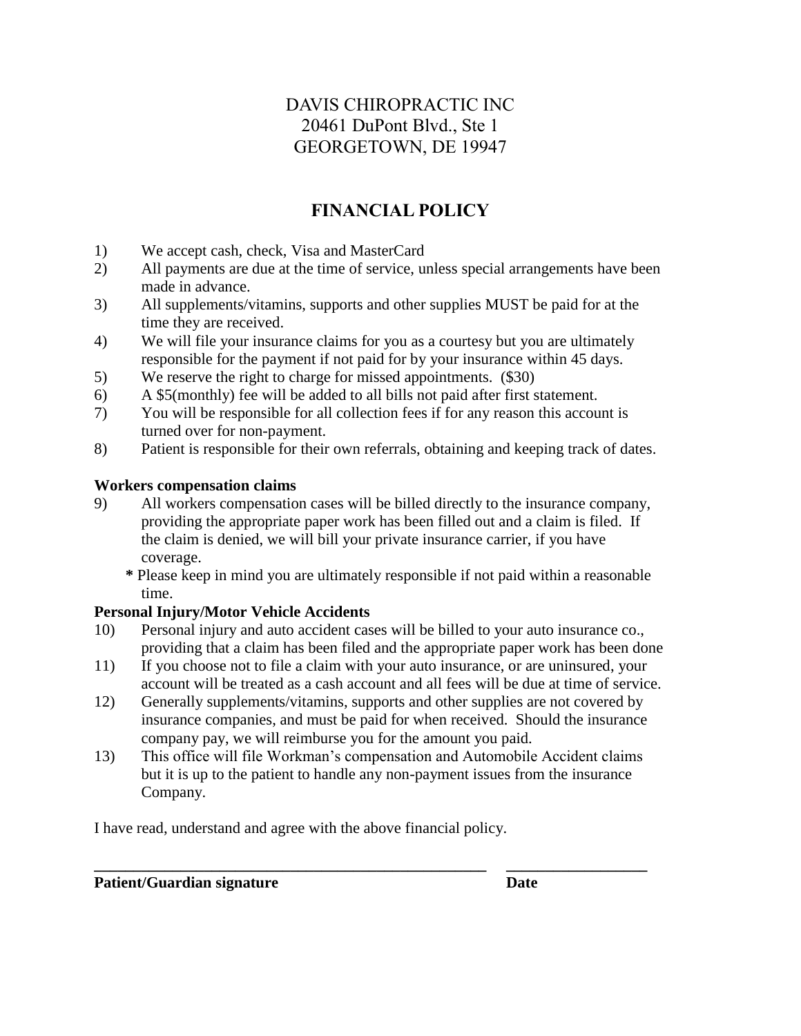## DAVIS CHIROPRACTIC INC 20461 DuPont Blvd., Ste 1 GEORGETOWN, DE 19947

## **FINANCIAL POLICY**

- 1) We accept cash, check, Visa and MasterCard
- 2) All payments are due at the time of service, unless special arrangements have been made in advance.
- 3) All supplements/vitamins, supports and other supplies MUST be paid for at the time they are received.
- 4) We will file your insurance claims for you as a courtesy but you are ultimately responsible for the payment if not paid for by your insurance within 45 days.
- 5) We reserve the right to charge for missed appointments. (\$30)
- 6) A \$5(monthly) fee will be added to all bills not paid after first statement.
- 7) You will be responsible for all collection fees if for any reason this account is turned over for non-payment.
- 8) Patient is responsible for their own referrals, obtaining and keeping track of dates.

## **Workers compensation claims**

- 9) All workers compensation cases will be billed directly to the insurance company, providing the appropriate paper work has been filled out and a claim is filed. If the claim is denied, we will bill your private insurance carrier, if you have coverage.
	- **\*** Please keep in mind you are ultimately responsible if not paid within a reasonable time.

## **Personal Injury/Motor Vehicle Accidents**

- 10) Personal injury and auto accident cases will be billed to your auto insurance co., providing that a claim has been filed and the appropriate paper work has been done
- 11) If you choose not to file a claim with your auto insurance, or are uninsured, your account will be treated as a cash account and all fees will be due at time of service.
- 12) Generally supplements/vitamins, supports and other supplies are not covered by insurance companies, and must be paid for when received. Should the insurance company pay, we will reimburse you for the amount you paid.
- 13) This office will file Workman's compensation and Automobile Accident claims but it is up to the patient to handle any non-payment issues from the insurance Company.

**\_\_\_\_\_\_\_\_\_\_\_\_\_\_\_\_\_\_\_\_\_\_\_\_\_\_\_\_\_\_\_\_\_\_\_\_\_\_\_\_\_\_\_\_\_\_\_\_\_\_ \_\_\_\_\_\_\_\_\_\_\_\_\_\_\_\_\_\_**

I have read, understand and agree with the above financial policy.

## **Patient/Guardian signature Date Date**